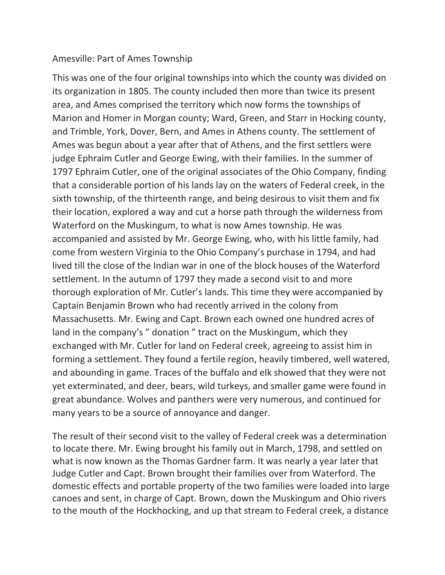## Amesville: Part of Ames Township

This was one of the four original townships into which the county was divided on its organization in 1805. The county included then more than twice its present area, and Ames comprised the territory which now forms the townships of Marion and Homer in Morgan county; Ward, Green, and Starr in Hocking county, and Trimble, York, Dover, Bern, and Ames in Athens county. The settlement of Ames was begun about a year after that of Athens, and the first settlers were judge Ephraim Cutler and George Ewing, with their families. In the summer of 1797 Ephraim Cutler, one of the original associates of the Ohio Company, finding that a considerable portion of his lands lay on the waters of Federal creek, in the sixth township, of the thirteenth range, and being desirous to visit them and fix their location, explored a way and cut a horse path through the wilderness from Waterford on the Muskingum, to what is now Ames township. He was accompanied and assisted by Mr. George Ewing, who, with his little family, had come from western Virginia to the Ohio Company's purchase in 1794, and had lived till the close of the Indian war in one of the block houses of the Waterford settlement. In the autumn of 1797 they made a second visit to and more thorough exploration of Mr. Cutler's lands. This time they were accompanied by Captain Benjamin Brown who had recently arrived in the colony from Massachusetts. Mr. Ewing and Capt. Brown each owned one hundred acres of land in the company's " donation " tract on the Muskingum, which they exchanged with Mr. Cutler for land on Federal creek, agreeing to assist him in forming a settlement. They found a fertile region, heavily timbered, well watered, and abounding in game. Traces of the buffalo and elk showed that they were not yet exterminated, and deer, bears, wild turkeys, and smaller game were found in great abundance. Wolves and panthers were very numerous, and continued for many years to be a source of annoyance and danger.

The result of their second visit to the valley of Federal creek was a determination to locate there. Mr. Ewing brought his family out in March, 1798, and settled on what is now known as the Thomas Gardner farm. It was nearly a year later that Judge Cutler and Capt. Brown brought their families over from Waterford. The domestic effects and portable property of the two families were loaded into large canoes and sent, in charge of Capt. Brown, down the Muskingum and Ohio rivers to the mouth of the Hockhocking, and up that stream to Federal creek, a distance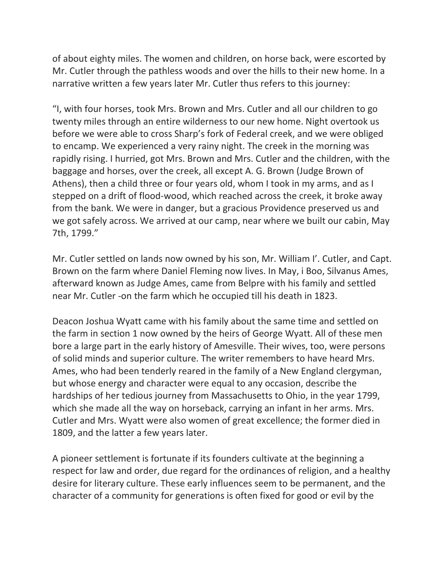of about eighty miles. The women and children, on horse back, were escorted by Mr. Cutler through the pathless woods and over the hills to their new home. In a narrative written a few years later Mr. Cutler thus refers to this journey:

"I, with four horses, took Mrs. Brown and Mrs. Cutler and all our children to go twenty miles through an entire wilderness to our new home. Night overtook us before we were able to cross Sharp's fork of Federal creek, and we were obliged to encamp. We experienced a very rainy night. The creek in the morning was rapidly rising. I hurried, got Mrs. Brown and Mrs. Cutler and the children, with the baggage and horses, over the creek, all except A. G. Brown (Judge Brown of Athens), then a child three or four years old, whom I took in my arms, and as I stepped on a drift of flood-wood, which reached across the creek, it broke away from the bank. We were in danger, but a gracious Providence preserved us and we got safely across. We arrived at our camp, near where we built our cabin, May 7th, 1799."

Mr. Cutler settled on lands now owned by his son, Mr. William I'. Cutler, and Capt. Brown on the farm where Daniel Fleming now lives. In May, i Boo, Silvanus Ames, afterward known as Judge Ames, came from Belpre with his family and settled near Mr. Cutler -on the farm which he occupied till his death in 1823.

Deacon Joshua Wyatt came with his family about the same time and settled on the farm in section 1 now owned by the heirs of George Wyatt. All of these men bore a large part in the early history of Amesville. Their wives, too, were persons of solid minds and superior culture. The writer remembers to have heard Mrs. Ames, who had been tenderly reared in the family of a New England clergyman, but whose energy and character were equal to any occasion, describe the hardships of her tedious journey from Massachusetts to Ohio, in the year 1799, which she made all the way on horseback, carrying an infant in her arms. Mrs. Cutler and Mrs. Wyatt were also women of great excellence; the former died in 1809, and the latter a few years later.

A pioneer settlement is fortunate if its founders cultivate at the beginning a respect for law and order, due regard for the ordinances of religion, and a healthy desire for literary culture. These early influences seem to be permanent, and the character of a community for generations is often fixed for good or evil by the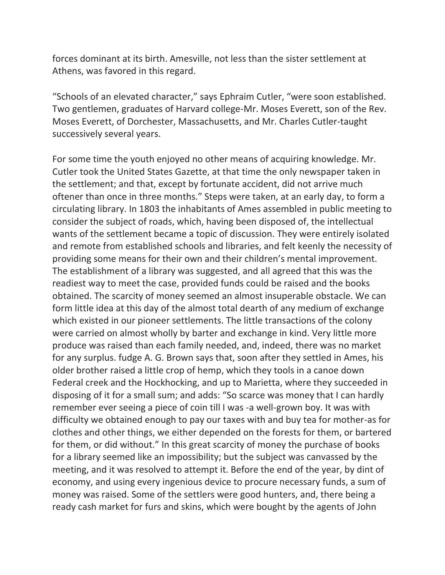forces dominant at its birth. Amesville, not less than the sister settlement at Athens, was favored in this regard.

"Schools of an elevated character," says Ephraim Cutler, "were soon established. Two gentlemen, graduates of Harvard college-Mr. Moses Everett, son of the Rev. Moses Everett, of Dorchester, Massachusetts, and Mr. Charles Cutler-taught successively several years.

For some time the youth enjoyed no other means of acquiring knowledge. Mr. Cutler took the United States Gazette, at that time the only newspaper taken in the settlement; and that, except by fortunate accident, did not arrive much oftener than once in three months." Steps were taken, at an early day, to form a circulating library. In 1803 the inhabitants of Ames assembled in public meeting to consider the subject of roads, which, having been disposed of, the intellectual wants of the settlement became a topic of discussion. They were entirely isolated and remote from established schools and libraries, and felt keenly the necessity of providing some means for their own and their children's mental improvement. The establishment of a library was suggested, and all agreed that this was the readiest way to meet the case, provided funds could be raised and the books obtained. The scarcity of money seemed an almost insuperable obstacle. We can form little idea at this day of the almost total dearth of any medium of exchange which existed in our pioneer settlements. The little transactions of the colony were carried on almost wholly by barter and exchange in kind. Very little more produce was raised than each family needed, and, indeed, there was no market for any surplus. fudge A. G. Brown says that, soon after they settled in Ames, his older brother raised a little crop of hemp, which they tools in a canoe down Federal creek and the Hockhocking, and up to Marietta, where they succeeded in disposing of it for a small sum; and adds: "So scarce was money that I can hardly remember ever seeing a piece of coin till I was -a well-grown boy. It was with difficulty we obtained enough to pay our taxes with and buy tea for mother-as for clothes and other things, we either depended on the forests for them, or bartered for them, or did without." In this great scarcity of money the purchase of books for a library seemed like an impossibility; but the subject was canvassed by the meeting, and it was resolved to attempt it. Before the end of the year, by dint of economy, and using every ingenious device to procure necessary funds, a sum of money was raised. Some of the settlers were good hunters, and, there being a ready cash market for furs and skins, which were bought by the agents of John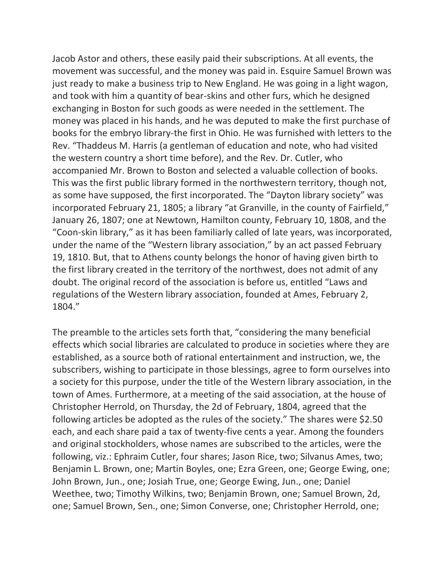Jacob Astor and others, these easily paid their subscriptions. At all events, the movement was successful, and the money was paid in. Esquire Samuel Brown was just ready to make a business trip to New England. He was going in a light wagon, and took with him a quantity of bear-skins and other furs, which he designed exchanging in Boston for such goods as were needed in the settlement. The money was placed in his hands, and he was deputed to make the first purchase of books for the embryo library-the first in Ohio. He was furnished with letters to the Rev. "Thaddeus M. Harris (a gentleman of education and note, who had visited the western country a short time before), and the Rev. Dr. Cutler, who accompanied Mr. Brown to Boston and selected a valuable collection of books. This was the first public library formed in the northwestern territory, though not, as some have supposed, the first incorporated. The "Dayton library society" was incorporated February 21, 1805; a library "at Granville, in the county of Fairfield," January 26, 1807; one at Newtown, Hamilton county, February 10, 1808, and the "Coon-skin library," as it has been familiarly called of late years, was incorporated, under the name of the "Western library association," by an act passed February 19, 1810. But, that to Athens county belongs the honor of having given birth to the first library created in the territory of the northwest, does not admit of any doubt. The original record of the association is before us, entitled "Laws and regulations of the Western library association, founded at Ames, February 2, 1804."

The preamble to the articles sets forth that, "considering the many beneficial effects which social libraries are calculated to produce in societies where they are established, as a source both of rational entertainment and instruction, we, the subscribers, wishing to participate in those blessings, agree to form ourselves into a society for this purpose, under the title of the Western library association, in the town of Ames. Furthermore, at a meeting of the said association, at the house of Christopher Herrold, on Thursday, the 2d of February, 1804, agreed that the following articles be adopted as the rules of the society." The shares were \$2.50 each, and each share paid a tax of twenty-five cents a year. Among the founders and original stockholders, whose names are subscribed to the articles, were the following, viz.: Ephraim Cutler, four shares; Jason Rice, two; Silvanus Ames, two; Benjamin L. Brown, one; Martin Boyles, one; Ezra Green, one; George Ewing, one; John Brown, Jun., one; Josiah True, one; George Ewing, Jun., one; Daniel Weethee, two; Timothy Wilkins, two; Benjamin Brown, one; Samuel Brown, 2d, one; Samuel Brown, Sen., one; Simon Converse, one; Christopher Herrold, one;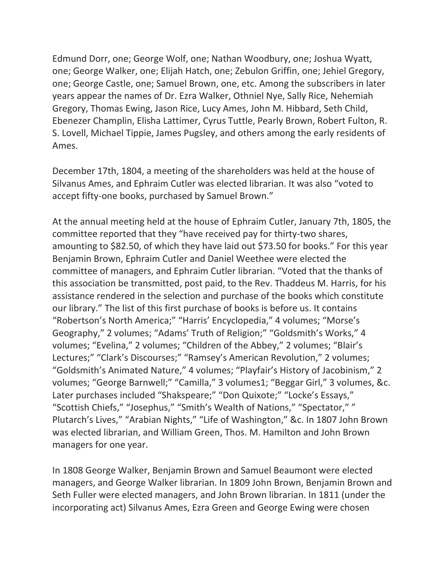Edmund Dorr, one; George Wolf, one; Nathan Woodbury, one; Joshua Wyatt, one; George Walker, one; Elijah Hatch, one; Zebulon Griffin, one; Jehiel Gregory, one; George Castle, one; Samuel Brown, one, etc. Among the subscribers in later years appear the names of Dr. Ezra Walker, Othniel Nye, Sally Rice, Nehemiah Gregory, Thomas Ewing, Jason Rice, Lucy Ames, John M. Hibbard, Seth Child, Ebenezer Champlin, Elisha Lattimer, Cyrus Tuttle, Pearly Brown, Robert Fulton, R. S. Lovell, Michael Tippie, James Pugsley, and others among the early residents of Ames.

December 17th, 1804, a meeting of the shareholders was held at the house of Silvanus Ames, and Ephraim Cutler was elected librarian. It was also "voted to accept fifty-one books, purchased by Samuel Brown."

At the annual meeting held at the house of Ephraim Cutler, January 7th, 1805, the committee reported that they "have received pay for thirty-two shares, amounting to \$82.50, of which they have laid out \$73.50 for books." For this year Benjamin Brown, Ephraim Cutler and Daniel Weethee were elected the committee of managers, and Ephraim Cutler librarian. "Voted that the thanks of this association be transmitted, post paid, to the Rev. Thaddeus M. Harris, for his assistance rendered in the selection and purchase of the books which constitute our library." The list of this first purchase of books is before us. It contains "Robertson's North America;" "Harris' Encyclopedia," 4 volumes; "Morse's Geography," 2 volumes; "Adams' Truth of Religion;" "Goldsmith's Works," 4 volumes; "Evelina," 2 volumes; "Children of the Abbey," 2 volumes; "Blair's Lectures;" "Clark's Discourses;" "Ramsey's American Revolution," 2 volumes; "Goldsmith's Animated Nature," 4 volumes; "Playfair's History of Jacobinism," 2 volumes; "George Barnwell;" "Camilla," 3 volumes1; "Beggar Girl," 3 volumes, &c. Later purchases included "Shakspeare;" "Don Quixote;" "Locke's Essays," "Scottish Chiefs," "Josephus," "Smith's Wealth of Nations," "Spectator," " Plutarch's Lives," "Arabian Nights," "Life of Washington," &c. In 1807 John Brown was elected librarian, and William Green, Thos. M. Hamilton and John Brown managers for one year.

In 1808 George Walker, Benjamin Brown and Samuel Beaumont were elected managers, and George Walker librarian. In 1809 John Brown, Benjamin Brown and Seth Fuller were elected managers, and John Brown librarian. In 1811 (under the incorporating act) Silvanus Ames, Ezra Green and George Ewing were chosen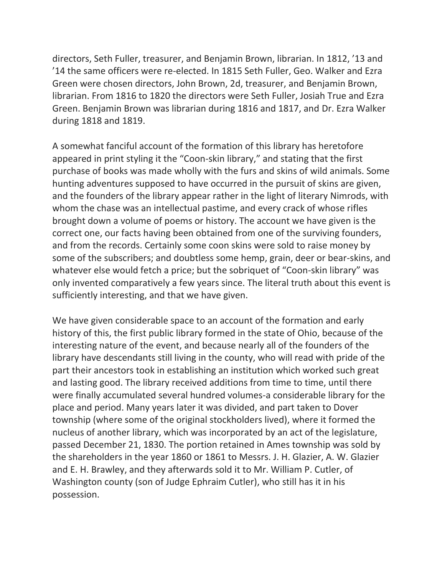directors, Seth Fuller, treasurer, and Benjamin Brown, librarian. In 1812, '13 and '14 the same officers were re-elected. In 1815 Seth Fuller, Geo. Walker and Ezra Green were chosen directors, John Brown, 2d, treasurer, and Benjamin Brown, librarian. From 1816 to 1820 the directors were Seth Fuller, Josiah True and Ezra Green. Benjamin Brown was librarian during 1816 and 1817, and Dr. Ezra Walker during 1818 and 1819.

A somewhat fanciful account of the formation of this library has heretofore appeared in print styling it the "Coon-skin library," and stating that the first purchase of books was made wholly with the furs and skins of wild animals. Some hunting adventures supposed to have occurred in the pursuit of skins are given, and the founders of the library appear rather in the light of literary Nimrods, with whom the chase was an intellectual pastime, and every crack of whose rifles brought down a volume of poems or history. The account we have given is the correct one, our facts having been obtained from one of the surviving founders, and from the records. Certainly some coon skins were sold to raise money by some of the subscribers; and doubtless some hemp, grain, deer or bear-skins, and whatever else would fetch a price; but the sobriquet of "Coon-skin library" was only invented comparatively a few years since. The literal truth about this event is sufficiently interesting, and that we have given.

We have given considerable space to an account of the formation and early history of this, the first public library formed in the state of Ohio, because of the interesting nature of the event, and because nearly all of the founders of the library have descendants still living in the county, who will read with pride of the part their ancestors took in establishing an institution which worked such great and lasting good. The library received additions from time to time, until there were finally accumulated several hundred volumes-a considerable library for the place and period. Many years later it was divided, and part taken to Dover township (where some of the original stockholders lived), where it formed the nucleus of another library, which was incorporated by an act of the legislature, passed December 21, 1830. The portion retained in Ames township was sold by the shareholders in the year 1860 or 1861 to Messrs. J. H. Glazier, A. W. Glazier and E. H. Brawley, and they afterwards sold it to Mr. William P. Cutler, of Washington county (son of Judge Ephraim Cutler), who still has it in his possession.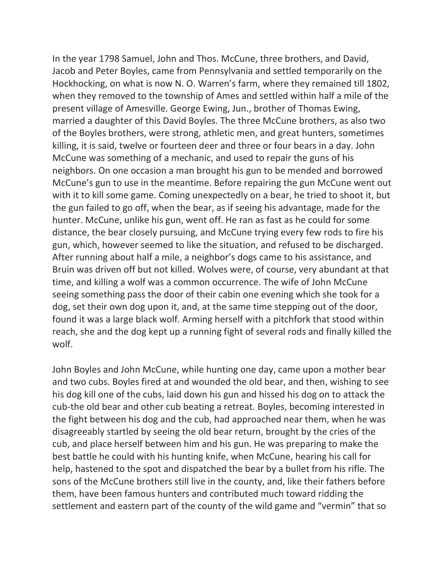In the year 1798 Samuel, John and Thos. McCune, three brothers, and David, Jacob and Peter Boyles, came from Pennsylvania and settled temporarily on the Hockhocking, on what is now N. O. Warren's farm, where they remained till 1802, when they removed to the township of Ames and settled within half a mile of the present village of Amesville. George Ewing, Jun., brother of Thomas Ewing, married a daughter of this David Boyles. The three McCune brothers, as also two of the Boyles brothers, were strong, athletic men, and great hunters, sometimes killing, it is said, twelve or fourteen deer and three or four bears in a day. John McCune was something of a mechanic, and used to repair the guns of his neighbors. On one occasion a man brought his gun to be mended and borrowed McCune's gun to use in the meantime. Before repairing the gun McCune went out with it to kill some game. Coming unexpectedly on a bear, he tried to shoot it, but the gun failed to go off, when the bear, as if seeing his advantage, made for the hunter. McCune, unlike his gun, went off. He ran as fast as he could for some distance, the bear closely pursuing, and McCune trying every few rods to fire his gun, which, however seemed to like the situation, and refused to be discharged. After running about half a mile, a neighbor's dogs came to his assistance, and Bruin was driven off but not killed. Wolves were, of course, very abundant at that time, and killing a wolf was a common occurrence. The wife of John McCune seeing something pass the door of their cabin one evening which she took for a dog, set their own dog upon it, and, at the same time stepping out of the door, found it was a large black wolf. Arming herself with a pitchfork that stood within reach, she and the dog kept up a running fight of several rods and finally killed the wolf.

John Boyles and John McCune, while hunting one day, came upon a mother bear and two cubs. Boyles fired at and wounded the old bear, and then, wishing to see his dog kill one of the cubs, laid down his gun and hissed his dog on to attack the cub-the old bear and other cub beating a retreat. Boyles, becoming interested in the fight between his dog and the cub, had approached near them, when he was disagreeably startled by seeing the old bear return, brought by the cries of the cub, and place herself between him and his gun. He was preparing to make the best battle he could with his hunting knife, when McCune, hearing his call for help, hastened to the spot and dispatched the bear by a bullet from his rifle. The sons of the McCune brothers still live in the county, and, like their fathers before them, have been famous hunters and contributed much toward ridding the settlement and eastern part of the county of the wild game and "vermin" that so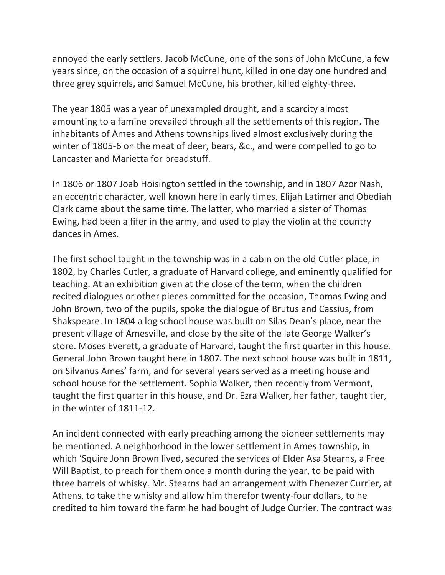annoyed the early settlers. Jacob McCune, one of the sons of John McCune, a few years since, on the occasion of a squirrel hunt, killed in one day one hundred and three grey squirrels, and Samuel McCune, his brother, killed eighty-three.

The year 1805 was a year of unexampled drought, and a scarcity almost amounting to a famine prevailed through all the settlements of this region. The inhabitants of Ames and Athens townships lived almost exclusively during the winter of 1805-6 on the meat of deer, bears, &c., and were compelled to go to Lancaster and Marietta for breadstuff.

In 1806 or 1807 Joab Hoisington settled in the township, and in 1807 Azor Nash, an eccentric character, well known here in early times. Elijah Latimer and Obediah Clark came about the same time. The latter, who married a sister of Thomas Ewing, had been a fifer in the army, and used to play the violin at the country dances in Ames.

The first school taught in the township was in a cabin on the old Cutler place, in 1802, by Charles Cutler, a graduate of Harvard college, and eminently qualified for teaching. At an exhibition given at the close of the term, when the children recited dialogues or other pieces committed for the occasion, Thomas Ewing and John Brown, two of the pupils, spoke the dialogue of Brutus and Cassius, from Shakspeare. In 1804 a log school house was built on Silas Dean's place, near the present village of Amesville, and close by the site of the late George Walker's store. Moses Everett, a graduate of Harvard, taught the first quarter in this house. General John Brown taught here in 1807. The next school house was built in 1811, on Silvanus Ames' farm, and for several years served as a meeting house and school house for the settlement. Sophia Walker, then recently from Vermont, taught the first quarter in this house, and Dr. Ezra Walker, her father, taught tier, in the winter of 1811-12.

An incident connected with early preaching among the pioneer settlements may be mentioned. A neighborhood in the lower settlement in Ames township, in which 'Squire John Brown lived, secured the services of Elder Asa Stearns, a Free Will Baptist, to preach for them once a month during the year, to be paid with three barrels of whisky. Mr. Stearns had an arrangement with Ebenezer Currier, at Athens, to take the whisky and allow him therefor twenty-four dollars, to he credited to him toward the farm he had bought of Judge Currier. The contract was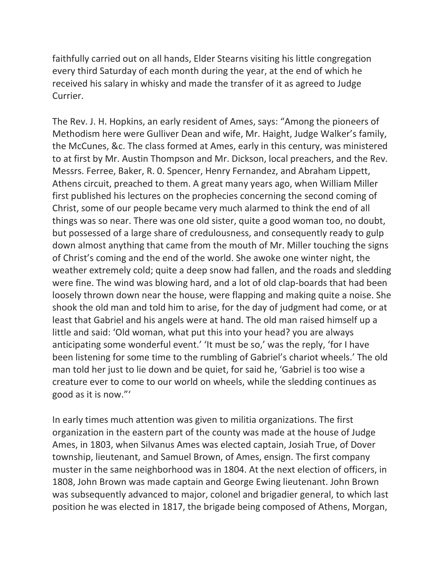faithfully carried out on all hands, Elder Stearns visiting his little congregation every third Saturday of each month during the year, at the end of which he received his salary in whisky and made the transfer of it as agreed to Judge Currier.

The Rev. J. H. Hopkins, an early resident of Ames, says: "Among the pioneers of Methodism here were Gulliver Dean and wife, Mr. Haight, Judge Walker's family, the McCunes, &c. The class formed at Ames, early in this century, was ministered to at first by Mr. Austin Thompson and Mr. Dickson, local preachers, and the Rev. Messrs. Ferree, Baker, R. 0. Spencer, Henry Fernandez, and Abraham Lippett, Athens circuit, preached to them. A great many years ago, when William Miller first published his lectures on the prophecies concerning the second coming of Christ, some of our people became very much alarmed to think the end of all things was so near. There was one old sister, quite a good woman too, no doubt, but possessed of a large share of credulousness, and consequently ready to gulp down almost anything that came from the mouth of Mr. Miller touching the signs of Christ's coming and the end of the world. She awoke one winter night, the weather extremely cold; quite a deep snow had fallen, and the roads and sledding were fine. The wind was blowing hard, and a lot of old clap-boards that had been loosely thrown down near the house, were flapping and making quite a noise. She shook the old man and told him to arise, for the day of judgment had come, or at least that Gabriel and his angels were at hand. The old man raised himself up a little and said: 'Old woman, what put this into your head? you are always anticipating some wonderful event.' 'It must be so,' was the reply, 'for I have been listening for some time to the rumbling of Gabriel's chariot wheels.' The old man told her just to lie down and be quiet, for said he, 'Gabriel is too wise a creature ever to come to our world on wheels, while the sledding continues as good as it is now."'

In early times much attention was given to militia organizations. The first organization in the eastern part of the county was made at the house of Judge Ames, in 1803, when Silvanus Ames was elected captain, Josiah True, of Dover township, lieutenant, and Samuel Brown, of Ames, ensign. The first company muster in the same neighborhood was in 1804. At the next election of officers, in 1808, John Brown was made captain and George Ewing lieutenant. John Brown was subsequently advanced to major, colonel and brigadier general, to which last position he was elected in 1817, the brigade being composed of Athens, Morgan,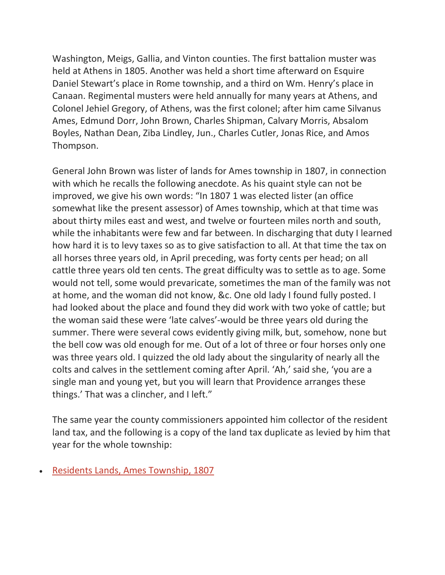Washington, Meigs, Gallia, and Vinton counties. The first battalion muster was held at Athens in 1805. Another was held a short time afterward on Esquire Daniel Stewart's place in Rome township, and a third on Wm. Henry's place in Canaan. Regimental musters were held annually for many years at Athens, and Colonel Jehiel Gregory, of Athens, was the first colonel; after him came Silvanus Ames, Edmund Dorr, John Brown, Charles Shipman, Calvary Morris, Absalom Boyles, Nathan Dean, Ziba Lindley, Jun., Charles Cutler, Jonas Rice, and Amos Thompson.

General John Brown was lister of lands for Ames township in 1807, in connection with which he recalls the following anecdote. As his quaint style can not be improved, we give his own words: "In 1807 1 was elected lister (an office somewhat like the present assessor) of Ames township, which at that time was about thirty miles east and west, and twelve or fourteen miles north and south, while the inhabitants were few and far between. In discharging that duty I learned how hard it is to levy taxes so as to give satisfaction to all. At that time the tax on all horses three years old, in April preceding, was forty cents per head; on all cattle three years old ten cents. The great difficulty was to settle as to age. Some would not tell, some would prevaricate, sometimes the man of the family was not at home, and the woman did not know, &c. One old lady I found fully posted. I had looked about the place and found they did work with two yoke of cattle; but the woman said these were 'late calves'-would be three years old during the summer. There were several cows evidently giving milk, but, somehow, none but the bell cow was old enough for me. Out of a lot of three or four horses only one was three years old. I quizzed the old lady about the singularity of nearly all the colts and calves in the settlement coming after April. 'Ah,' said she, 'you are a single man and young yet, but you will learn that Providence arranges these things.' That was a clincher, and I left."

The same year the county commissioners appointed him collector of the resident land tax, and the following is a copy of the land tax duplicate as levied by him that year for the whole township:

• [Residents Lands, Ames Township, 1807](https://www.accessgenealogy.com/ohio/residents-lands-ames-township-1807.htm)